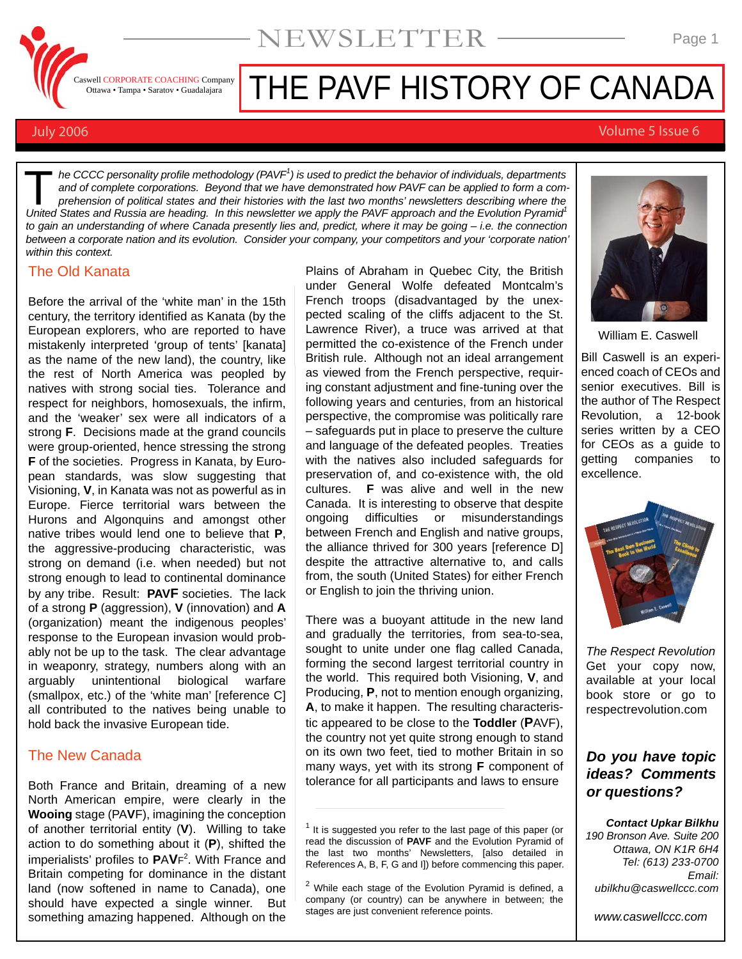

# THE PAVF HISTORY OF CANADA

NEWSLETTER

#### July 2006 Volume 5 Issue 6

*he CCCC personality profile methodology (PAVF1 ) is used to predict the behavior of individuals, departments and of complete corporations. Beyond that we have demonstrated how PAVF can be applied to form a comprehension of political states and their histories with the last two months' newsletters describing where the In the CCCC personality profile methodology (PAVF<sup>1</sup>) is used to predict the behavior of individuals, departments and of complete corporations. Beyond that we have demonstrated how PAVF can be applied to form a comprehens to gain an understanding of where Canada presently lies and, predict, where it may be going – i.e. the connection between a corporate nation and its evolution. Consider your company, your competitors and your 'corporate nation' within this context.*

#### The Old Kanata

Before the arrival of the 'white man' in the 15th century, the territory identified as Kanata (by the European explorers, who are reported to have mistakenly interpreted 'group of tents' [kanata] as the name of the new land), the country, like the rest of North America was peopled by natives with strong social ties. Tolerance and respect for neighbors, homosexuals, the infirm, and the 'weaker' sex were all indicators of a strong **F**. Decisions made at the grand councils were group-oriented, hence stressing the strong **F** of the societies. Progress in Kanata, by European standards, was slow suggesting that Visioning, **V**, in Kanata was not as powerful as in Europe. Fierce territorial wars between the Hurons and Algonquins and amongst other native tribes would lend one to believe that **P**, the aggressive-producing characteristic, was strong on demand (i.e. when needed) but not strong enough to lead to continental dominance by any tribe. Result: **PAVF** societies. The lack of a strong **P** (aggression), **V** (innovation) and **A** (organization) meant the indigenous peoples' response to the European invasion would probably not be up to the task. The clear advantage in weaponry, strategy, numbers along with an arguably unintentional biological warfare (smallpox, etc.) of the 'white man' [reference C] all contributed to the natives being unable to hold back the invasive European tide.

### The New Canada

Both France and Britain, dreaming of a new North American empire, were clearly in the **Wooing** stage (PA**V**F), imagining the conception of another territorial entity (**V**). Willing to take action to do something about it (**P**), shifted the imperialists' profiles to **P**A**V**F2 . With France and Britain competing for dominance in the distant land (now softened in name to Canada), one should have expected a single winner. But something amazing happened. Although on the

Plains of Abraham in Quebec City, the British under General Wolfe defeated Montcalm's French troops (disadvantaged by the unexpected scaling of the cliffs adjacent to the St. Lawrence River), a truce was arrived at that permitted the co-existence of the French under British rule. Although not an ideal arrangement as viewed from the French perspective, requiring constant adjustment and fine-tuning over the following years and centuries, from an historical perspective, the compromise was politically rare – safeguards put in place to preserve the culture and language of the defeated peoples. Treaties with the natives also included safeguards for preservation of, and co-existence with, the old cultures. **F** was alive and well in the new Canada. It is interesting to observe that despite ongoing difficulties or misunderstandings between French and English and native groups, the alliance thrived for 300 years [reference D] despite the attractive alternative to, and calls from, the south (United States) for either French or English to join the thriving union.

There was a buoyant attitude in the new land and gradually the territories, from sea-to-sea, sought to unite under one flag called Canada, forming the second largest territorial country in the world. This required both Visioning, **V**, and Producing, **P**, not to mention enough organizing, **A**, to make it happen. The resulting characteristic appeared to be close to the **Toddler** (**P**AVF), the country not yet quite strong enough to stand on its own two feet, tied to mother Britain in so many ways, yet with its strong **F** component of tolerance for all participants and laws to ensure



William E. Caswell

Bill Caswell is an experienced coach of CEOs and senior executives. Bill is the author of The Respect Revolution, a 12-book series written by a CEO for CEOs as a guide to getting companies to excellence.



*The Respect Revolution* Get your copy now, available at your local book store or go to respectrevolution.com

## *Do you have topic ideas? Comments or questions?*

*Contact Upkar Bilkhu*

*190 Bronson Ave. Suite 200 Ottawa, ON K1R 6H4 Tel: (613) 233-0700 Email: ubilkhu@caswellccc.com*

*www.caswellccc.com*

 $1$  It is suggested you refer to the last page of this paper (or read the discussion of **PAVF** and the Evolution Pyramid of the last two months' Newsletters, [also detailed in References A, B, F, G and I]) before commencing this paper.

 $2$  While each stage of the Evolution Pyramid is defined, a company (or country) can be anywhere in between; the stages are just convenient reference points.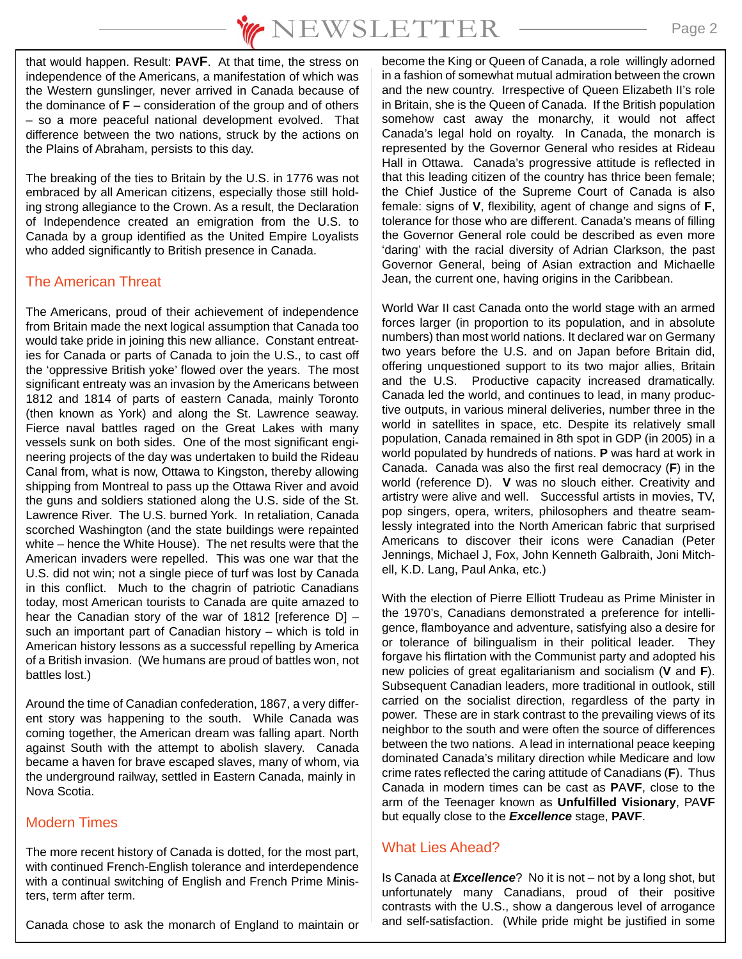that would happen. Result: **P**A**VF**. At that time, the stress on independence of the Americans, a manifestation of which was the Western gunslinger, never arrived in Canada because of the dominance of **F** – consideration of the group and of others – so a more peaceful national development evolved. That difference between the two nations, struck by the actions on the Plains of Abraham, persists to this day.

The breaking of the ties to Britain by the U.S. in 1776 was not embraced by all American citizens, especially those still holding strong allegiance to the Crown. As a result, the Declaration of Independence created an emigration from the U.S. to Canada by a group identified as the United Empire Loyalists who added significantly to British presence in Canada.

# The American Threat

The Americans, proud of their achievement of independence from Britain made the next logical assumption that Canada too would take pride in joining this new alliance. Constant entreaties for Canada or parts of Canada to join the U.S., to cast off the 'oppressive British yoke' flowed over the years. The most significant entreaty was an invasion by the Americans between 1812 and 1814 of parts of eastern Canada, mainly Toronto (then known as York) and along the St. Lawrence seaway. Fierce naval battles raged on the Great Lakes with many vessels sunk on both sides. One of the most significant engineering projects of the day was undertaken to build the Rideau Canal from, what is now, Ottawa to Kingston, thereby allowing shipping from Montreal to pass up the Ottawa River and avoid the guns and soldiers stationed along the U.S. side of the St. Lawrence River. The U.S. burned York. In retaliation, Canada scorched Washington (and the state buildings were repainted white – hence the White House). The net results were that the American invaders were repelled. This was one war that the U.S. did not win; not a single piece of turf was lost by Canada in this conflict. Much to the chagrin of patriotic Canadians today, most American tourists to Canada are quite amazed to hear the Canadian story of the war of 1812 [reference D] – such an important part of Canadian history – which is told in American history lessons as a successful repelling by America of a British invasion. (We humans are proud of battles won, not battles lost.)

Around the time of Canadian confederation, 1867, a very different story was happening to the south. While Canada was coming together, the American dream was falling apart. North against South with the attempt to abolish slavery. Canada became a haven for brave escaped slaves, many of whom, via the underground railway, settled in Eastern Canada, mainly in Nova Scotia.

# Modern Times

The more recent history of Canada is dotted, for the most part, with continued French-English tolerance and interdependence with a continual switching of English and French Prime Ministers, term after term.

Canada chose to ask the monarch of England to maintain or

become the King or Queen of Canada, a role willingly adorned in a fashion of somewhat mutual admiration between the crown and the new country. Irrespective of Queen Elizabeth II's role in Britain, she is the Queen of Canada. If the British population somehow cast away the monarchy, it would not affect Canada's legal hold on royalty. In Canada, the monarch is represented by the Governor General who resides at Rideau Hall in Ottawa. Canada's progressive attitude is reflected in that this leading citizen of the country has thrice been female; the Chief Justice of the Supreme Court of Canada is also female: signs of **V**, flexibility, agent of change and signs of **F**, tolerance for those who are different. Canada's means of filling the Governor General role could be described as even more 'daring' with the racial diversity of Adrian Clarkson, the past Governor General, being of Asian extraction and Michaelle Jean, the current one, having origins in the Caribbean.

World War II cast Canada onto the world stage with an armed forces larger (in proportion to its population, and in absolute numbers) than most world nations. It declared war on Germany two years before the U.S. and on Japan before Britain did, offering unquestioned support to its two major allies, Britain and the U.S. Productive capacity increased dramatically. Canada led the world, and continues to lead, in many productive outputs, in various mineral deliveries, number three in the world in satellites in space, etc. Despite its relatively small population, Canada remained in 8th spot in GDP (in 2005) in a world populated by hundreds of nations. **P** was hard at work in Canada. Canada was also the first real democracy (**F**) in the world (reference D). **V** was no slouch either. Creativity and artistry were alive and well. Successful artists in movies, TV, pop singers, opera, writers, philosophers and theatre seamlessly integrated into the North American fabric that surprised Americans to discover their icons were Canadian (Peter Jennings, Michael J, Fox, John Kenneth Galbraith, Joni Mitchell, K.D. Lang, Paul Anka, etc.)

With the election of Pierre Elliott Trudeau as Prime Minister in the 1970's, Canadians demonstrated a preference for intelligence, flamboyance and adventure, satisfying also a desire for or tolerance of bilingualism in their political leader. They forgave his flirtation with the Communist party and adopted his new policies of great egalitarianism and socialism (**V** and **F**). Subsequent Canadian leaders, more traditional in outlook, still carried on the socialist direction, regardless of the party in power. These are in stark contrast to the prevailing views of its neighbor to the south and were often the source of differences between the two nations. A lead in international peace keeping dominated Canada's military direction while Medicare and low crime rates reflected the caring attitude of Canadians (**F**). Thus Canada in modern times can be cast as **P**A**VF**, close to the arm of the Teenager known as **Unfulfilled Visionary**, PA**VF** but equally close to the *Excellence* stage, **PAVF**.

# What Lies Ahead?

Is Canada at *Excellence*? No it is not – not by a long shot, but unfortunately many Canadians, proud of their positive contrasts with the U.S., show a dangerous level of arrogance and self-satisfaction. (While pride might be justified in some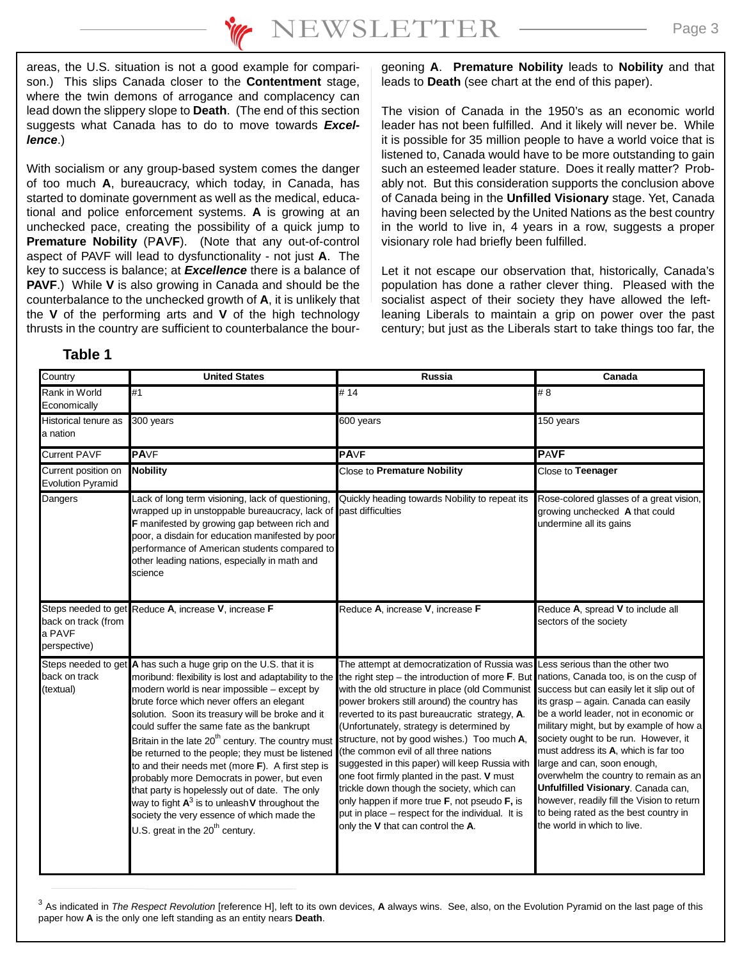areas, the U.S. situation is not a good example for comparison.) This slips Canada closer to the **Contentment** stage, where the twin demons of arrogance and complacency can lead down the slippery slope to **Death**. (The end of this section suggests what Canada has to do to move towards *Excellence*.)

With socialism or any group-based system comes the danger of too much **A**, bureaucracy, which today, in Canada, has started to dominate government as well as the medical, educational and police enforcement systems. **A** is growing at an unchecked pace, creating the possibility of a quick jump to **Premature Nobility** (P**A**V**F**). (Note that any out-of-control aspect of PAVF will lead to dysfunctionality - not just **A**. The key to success is balance; at *Excellence* there is a balance of **PAVF**.) While **V** is also growing in Canada and should be the counterbalance to the unchecked growth of **A**, it is unlikely that the **V** of the performing arts and **V** of the high technology thrusts in the country are sufficient to counterbalance the bour-

#### geoning **A**. **Premature Nobility** leads to **Nobility** and that leads to **Death** (see chart at the end of this paper).

The vision of Canada in the 1950's as an economic world leader has not been fulfilled. And it likely will never be. While it is possible for 35 million people to have a world voice that is listened to, Canada would have to be more outstanding to gain such an esteemed leader stature. Does it really matter? Probably not. But this consideration supports the conclusion above of Canada being in the **Unfilled Visionary** stage. Yet, Canada having been selected by the United Nations as the best country in the world to live in, 4 years in a row, suggests a proper visionary role had briefly been fulfilled.

Let it not escape our observation that, historically, Canada's population has done a rather clever thing. Pleased with the socialist aspect of their society they have allowed the leftleaning Liberals to maintain a grip on power over the past century; but just as the Liberals start to take things too far, the

## **Table 1**

| Country                                         | <b>United States</b>                                                                                                                                                                                                                                                                                                                                                                                                                                                                                                                                                                                                                                                                                                                                                                                  | <b>Russia</b>                                                                                                                                                                                                                                                                                                                                                                                                                                                                                                                                                                                                                                                 | Canada                                                                                                                                                                                                                                                                                                                                                                                                                                                                                                                              |
|-------------------------------------------------|-------------------------------------------------------------------------------------------------------------------------------------------------------------------------------------------------------------------------------------------------------------------------------------------------------------------------------------------------------------------------------------------------------------------------------------------------------------------------------------------------------------------------------------------------------------------------------------------------------------------------------------------------------------------------------------------------------------------------------------------------------------------------------------------------------|---------------------------------------------------------------------------------------------------------------------------------------------------------------------------------------------------------------------------------------------------------------------------------------------------------------------------------------------------------------------------------------------------------------------------------------------------------------------------------------------------------------------------------------------------------------------------------------------------------------------------------------------------------------|-------------------------------------------------------------------------------------------------------------------------------------------------------------------------------------------------------------------------------------------------------------------------------------------------------------------------------------------------------------------------------------------------------------------------------------------------------------------------------------------------------------------------------------|
| Rank in World<br>Economically                   | #1                                                                                                                                                                                                                                                                                                                                                                                                                                                                                                                                                                                                                                                                                                                                                                                                    | # 14                                                                                                                                                                                                                                                                                                                                                                                                                                                                                                                                                                                                                                                          | # 8                                                                                                                                                                                                                                                                                                                                                                                                                                                                                                                                 |
| Historical tenure as<br>a nation                | 300 years                                                                                                                                                                                                                                                                                                                                                                                                                                                                                                                                                                                                                                                                                                                                                                                             | 600 years                                                                                                                                                                                                                                                                                                                                                                                                                                                                                                                                                                                                                                                     | 150 years                                                                                                                                                                                                                                                                                                                                                                                                                                                                                                                           |
| <b>Current PAVF</b>                             | <b>PAVF</b>                                                                                                                                                                                                                                                                                                                                                                                                                                                                                                                                                                                                                                                                                                                                                                                           | <b>PAVF</b>                                                                                                                                                                                                                                                                                                                                                                                                                                                                                                                                                                                                                                                   | <b>PAVF</b>                                                                                                                                                                                                                                                                                                                                                                                                                                                                                                                         |
| Current position on<br><b>Evolution Pyramid</b> | <b>Nobility</b>                                                                                                                                                                                                                                                                                                                                                                                                                                                                                                                                                                                                                                                                                                                                                                                       | Close to Premature Nobility                                                                                                                                                                                                                                                                                                                                                                                                                                                                                                                                                                                                                                   | Close to Teenager                                                                                                                                                                                                                                                                                                                                                                                                                                                                                                                   |
| Dangers                                         | Lack of long term visioning, lack of questioning,<br>wrapped up in unstoppable bureaucracy, lack of<br>F manifested by growing gap between rich and<br>poor, a disdain for education manifested by poor<br>performance of American students compared to<br>other leading nations, especially in math and<br>science                                                                                                                                                                                                                                                                                                                                                                                                                                                                                   | Quickly heading towards Nobility to repeat its<br>past difficulties                                                                                                                                                                                                                                                                                                                                                                                                                                                                                                                                                                                           | Rose-colored glasses of a great vision,<br>growing unchecked A that could<br>undermine all its gains                                                                                                                                                                                                                                                                                                                                                                                                                                |
| back on track (from<br>a PAVF<br>perspective)   | Steps needed to get Reduce A, increase V, increase F                                                                                                                                                                                                                                                                                                                                                                                                                                                                                                                                                                                                                                                                                                                                                  | Reduce A, increase V, increase F                                                                                                                                                                                                                                                                                                                                                                                                                                                                                                                                                                                                                              | Reduce A, spread V to include all<br>sectors of the society                                                                                                                                                                                                                                                                                                                                                                                                                                                                         |
| back on track<br>(textual)                      | Steps needed to get A has such a huge grip on the U.S. that it is<br>moribund: flexibility is lost and adaptability to the the right step - the introduction of more F. But<br>modern world is near impossible - except by<br>brute force which never offers an elegant<br>solution. Soon its treasury will be broke and it<br>could suffer the same fate as the bankrupt<br>Britain in the late 20 <sup>th</sup> century. The country must<br>be returned to the people; they must be listened<br>to and their needs met (more F). A first step is<br>probably more Democrats in power, but even<br>that party is hopelessly out of date. The only<br>way to fight $A^3$ is to unleash V throughout the<br>society the very essence of which made the<br>U.S. great in the 20 <sup>th</sup> century. | The attempt at democratization of Russia was Less serious than the other two<br>with the old structure in place (old Communist<br>power brokers still around) the country has<br>reverted to its past bureaucratic strategy, A.<br>(Unfortunately, strategy is determined by<br>structure, not by good wishes.) Too much A,<br>(the common evil of all three nations<br>suggested in this paper) will keep Russia with<br>one foot firmly planted in the past. V must<br>trickle down though the society, which can<br>only happen if more true F, not pseudo F, is<br>put in place - respect for the individual. It is<br>only the V that can control the A. | nations, Canada too, is on the cusp of<br>success but can easily let it slip out of<br>its grasp - again. Canada can easily<br>be a world leader, not in economic or<br>military might, but by example of how a<br>society ought to be run. However, it<br>must address its A, which is far too<br>large and can, soon enough,<br>overwhelm the country to remain as an<br>Unfulfilled Visionary. Canada can,<br>however, readily fill the Vision to return<br>to being rated as the best country in<br>the world in which to live. |

<sup>3</sup> As indicated in *The Respect Revolution* [reference H], left to its own devices, **A** always wins. See, also, on the Evolution Pyramid on the last page of this paper how **A** is the only one left standing as an entity nears **Death**.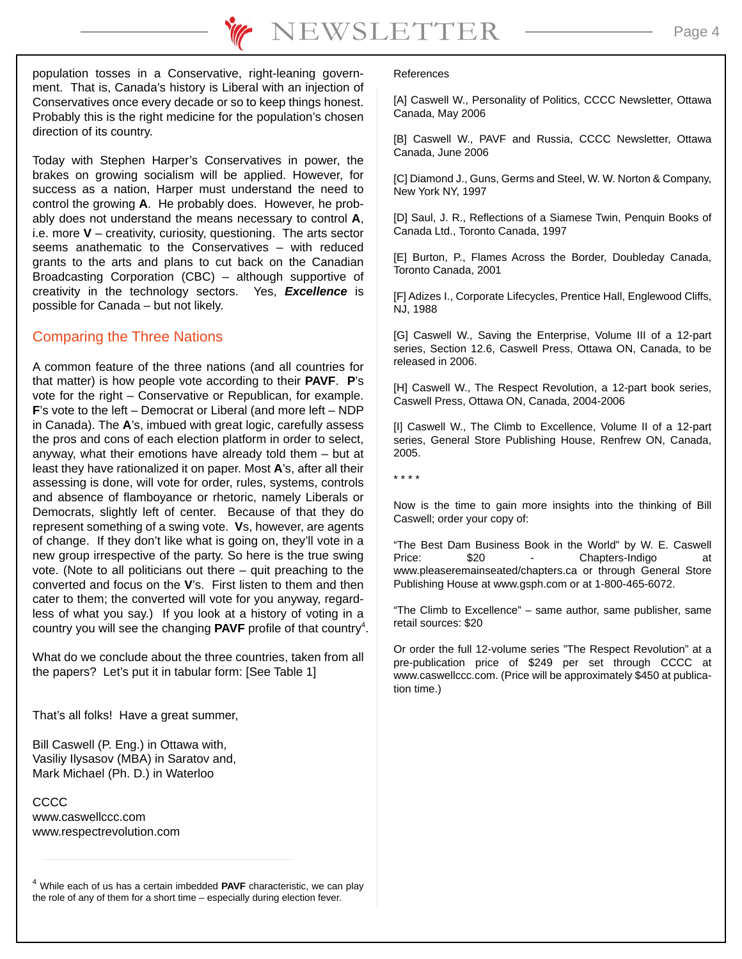population tosses in a Conservative, right-leaning government. That is, Canada's history is Liberal with an injection of Conservatives once every decade or so to keep things honest. Probably this is the right medicine for the population's chosen direction of its country.

Today with Stephen Harper's Conservatives in power, the brakes on growing socialism will be applied. However, for success as a nation, Harper must understand the need to control the growing **A**. He probably does. However, he probably does not understand the means necessary to control **A**, i.e. more **V** – creativity, curiosity, questioning. The arts sector seems anathematic to the Conservatives – with reduced grants to the arts and plans to cut back on the Canadian Broadcasting Corporation (CBC) – although supportive of creativity in the technology sectors. Yes, *Excellence* is possible for Canada – but not likely.

#### Comparing the Three Nations

A common feature of the three nations (and all countries for that matter) is how people vote according to their **PAVF**. **P**'s vote for the right – Conservative or Republican, for example. **F**'s vote to the left – Democrat or Liberal (and more left – NDP in Canada). The **A**'s, imbued with great logic, carefully assess the pros and cons of each election platform in order to select, anyway, what their emotions have already told them – but at least they have rationalized it on paper. Most **A**'s, after all their assessing is done, will vote for order, rules, systems, controls and absence of flamboyance or rhetoric, namely Liberals or Democrats, slightly left of center. Because of that they do represent something of a swing vote. **V**s, however, are agents of change. If they don't like what is going on, they'll vote in a new group irrespective of the party. So here is the true swing vote. (Note to all politicians out there – quit preaching to the converted and focus on the **V**'s. First listen to them and then cater to them; the converted will vote for you anyway, regardless of what you say.) If you look at a history of voting in a country you will see the changing **PAVF** profile of that country<sup>4</sup>.

What do we conclude about the three countries, taken from all the papers? Let's put it in tabular form: [See Table 1]

That's all folks! Have a great summer,

Bill Caswell (P. Eng.) in Ottawa with, Vasiliy Ilysasov (MBA) in Saratov and, Mark Michael (Ph. D.) in Waterloo

CCCC www.caswellccc.com www.respectrevolution.com

<sup>4</sup> While each of us has a certain imbedded **PAVF** characteristic, we can play the role of any of them for a short time – especially during election fever.

#### References

[A] Caswell W., Personality of Politics, CCCC Newsletter, Ottawa Canada, May 2006

[B] Caswell W., PAVF and Russia, CCCC Newsletter, Ottawa Canada, June 2006

[C] Diamond J., Guns, Germs and Steel, W. W. Norton & Company, New York NY, 1997

[D] Saul, J. R., Reflections of a Siamese Twin, Penquin Books of Canada Ltd., Toronto Canada, 1997

[E] Burton, P., Flames Across the Border, Doubleday Canada, Toronto Canada, 2001

[F] Adizes I., Corporate Lifecycles, Prentice Hall, Englewood Cliffs, NJ, 1988

[G] Caswell W., Saving the Enterprise, Volume III of a 12-part series, Section 12.6, Caswell Press, Ottawa ON, Canada, to be released in 2006.

[H] Caswell W., The Respect Revolution, a 12-part book series, Caswell Press, Ottawa ON, Canada, 2004-2006

[I] Caswell W., The Climb to Excellence, Volume II of a 12-part series, General Store Publishing House, Renfrew ON, Canada, 2005.

\* \* \* \*

Now is the time to gain more insights into the thinking of Bill Caswell; order your copy of:

"The Best Dam Business Book in the World" by W. E. Caswell Price: \$20 - Chapters-Indigo at www.pleaseremainseated/chapters.ca or through General Store Publishing House at www.gsph.com or at 1-800-465-6072.

"The Climb to Excellence" – same author, same publisher, same retail sources: \$20

Or order the full 12-volume series "The Respect Revolution" at a pre-publication price of \$249 per set through CCCC at www.caswellccc.com. (Price will be approximately \$450 at publication time.)